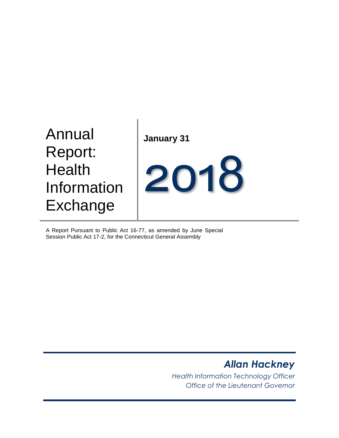# Annual Report: **Health** Information Exchange

**January 31**



A Report Pursuant to Public Act 16-77, as amended by June Special Session Public Act 17-2, for the Connecticut General Assembly

# *Allan Hackney*

*Health Information Technology Officer Office of the Lieutenant Governor*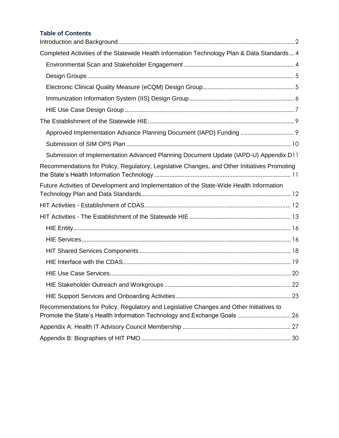## **Table of Contents**

| Completed Activities of the Statewide Health Information Technology Plan & Data Standards 4                                                                         |
|---------------------------------------------------------------------------------------------------------------------------------------------------------------------|
|                                                                                                                                                                     |
|                                                                                                                                                                     |
|                                                                                                                                                                     |
|                                                                                                                                                                     |
|                                                                                                                                                                     |
|                                                                                                                                                                     |
| Approved Implementation Advance Planning Document (IAPD) Funding  9                                                                                                 |
|                                                                                                                                                                     |
| Submission of Implementation Advanced Planning Document Update (IAPD-U) Appendix D11                                                                                |
| Recommendations for Policy, Regulatory, Legislative Changes, and Other Initiatives Promoting                                                                        |
| Future Activities of Development and Implementation of the State-Wide Health Information                                                                            |
|                                                                                                                                                                     |
|                                                                                                                                                                     |
|                                                                                                                                                                     |
|                                                                                                                                                                     |
|                                                                                                                                                                     |
|                                                                                                                                                                     |
|                                                                                                                                                                     |
| 22                                                                                                                                                                  |
|                                                                                                                                                                     |
| Recommendations for Policy, Regulatory and Legislative Changes and Other Initiatives to<br>Promote the State's Health Information Technology and Exchange Goals  26 |
|                                                                                                                                                                     |
|                                                                                                                                                                     |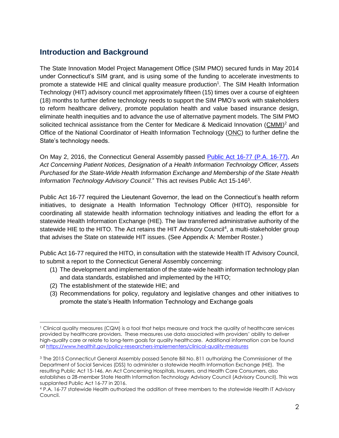# <span id="page-2-0"></span>**Introduction and Background**

The State Innovation Model Project Management Office (SIM PMO) secured funds in May 2014 under Connecticut's SIM grant, and is using some of the funding to accelerate investments to promote a statewide HIE and clinical quality measure production<sup>1</sup>. The SIM Health Information Technology (HIT) advisory council met approximately fifteen (15) times over a course of eighteen (18) months to further define technology needs to support the SIM PMO's work with stakeholders to reform healthcare delivery, promote population health and value based insurance design, eliminate health inequities and to advance the use of alternative payment models. The SIM PMO solicited technical assistance from the Center for Medicare & Medicaid Innovation [\(CMMI\)](https://innovation.cms.gov/About/index.html)<sup>2</sup> and Office of the National Coordinator of Health Information Technology [\(ONC\)](https://www.healthit.gov/) to further define the State's technology needs.

On May 2, 2016, the Connecticut General Assembly passed [Public Act 16-77](https://www.cga.ct.gov/asp/cgabillstatus/cgabillstatus.asp?selBillType=Bill&which_year=2016&bill_num=289) (P.A. 16-77), *An Act Concerning Patient Notices, Designation of a Health Information Technology Officer, Assets Purchased for the State-Wide Health Information Exchange and Membership of the State Health*  Information Technology Advisory Council." This act revises Public Act 15-146<sup>3</sup>.

Public Act 16-77 required the Lieutenant Governor, the lead on the Connecticut's health reform initiatives, to designate a Health Information Technology Officer (HITO), responsible for coordinating all statewide health information technology initiatives and leading the effort for a statewide Health Information Exchange (HIE). The law transferred administrative authority of the statewide HIE to the HITO. The Act retains the HIT Advisory Council<sup>4</sup>, a multi-stakeholder group that advises the State on statewide HIT issues. (See Appendix A: Member Roster.)

Public Act 16-77 required the HITO, in consultation with the statewide Health IT Advisory Council, to submit a report to the Connecticut General Assembly concerning:

- (1) The development and implementation of the state-wide health information technology plan and data standards, established and implemented by the HITO;
- (2) The establishment of the statewide HIE; and

(3) Recommendations for policy, regulatory and legislative changes and other initiatives to promote the state's Health Information Technology and Exchange goals

<sup>1</sup> Clinical quality measures (CQM) is a tool that helps measure and track the quality of healthcare services provided by healthcare providers. These measures use data associated with providers' ability to deliver high-quality care or relate to long-term goals for quality healthcare. Additional information can be found a[t https://www.healthit.gov/policy-researchers-implementers/clinical-quality-measures](https://www.healthit.gov/policy-researchers-implementers/clinical-quality-measures)

<sup>3</sup> The 2015 Connecticut General Assembly passed Senate Bill No. 811 authorizing the Commissioner of the Department of Social Services (DSS) to administer a statewide Health Information Exchange (HIE). The resulting Public Act 15-146, An Act Concerning Hospitals, Insurers, and Health Care Consumers, also establishes a 28-member State Health Information Technology Advisory Council (Advisory Council). This was supplanted Public Act 16-77 in 2016.

<sup>4</sup> P.A. 16-77 statewide Health authorized the addition of three members to the statewide Health IT Advisory Council.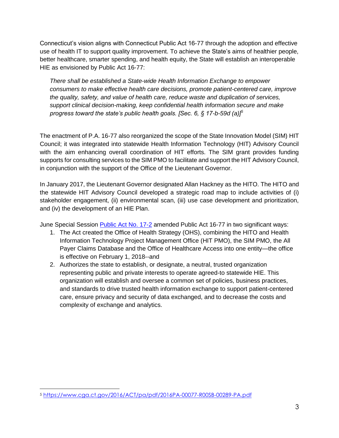Connecticut's vision aligns with Connecticut Public Act 16-77 through the adoption and effective use of health IT to support quality improvement. To achieve the State's aims of healthier people, better healthcare, smarter spending, and health equity, the State will establish an interoperable HIE as envisioned by Public Act 16-77:

*There shall be established a State-wide Health Information Exchange to empower consumers to make effective health care decisions, promote patient-centered care, improve the quality, safety, and value of health care, reduce waste and duplication of services, support clinical decision-making, keep confidential health information secure and make progress toward the state's public health goals. [Sec. 6, § 17-b-59d (a)]<sup>5</sup>*

The enactment of P.A. 16-77 also reorganized the scope of the State Innovation Model (SIM) HIT Council; it was integrated into statewide Health Information Technology (HIT) Advisory Council with the aim enhancing overall coordination of HIT efforts. The SIM grant provides funding supports for consulting services to the SIM PMO to facilitate and support the HIT Advisory Council, in conjunction with the support of the Office of the Lieutenant Governor.

In January 2017, the Lieutenant Governor designated Allan Hackney as the HITO. The HITO and the statewide HIT Advisory Council developed a strategic road map to include activities of (i) stakeholder engagement, (ii) environmental scan, (iii) use case development and prioritization, and (iv) the development of an HIE Plan.

June Special Session [Public Act No. 17-2](https://www.cga.ct.gov/2017/act/pa/pdf/2017PA-00002-R00SB-01502SS1-PA.pdf) amended Public Act 16-77 in two significant ways:

- 1. The Act created the Office of Health Strategy (OHS), combining the HITO and Health Information Technology Project Management Office (HIT PMO), the SIM PMO, the All Payer Claims Database and the Office of Healthcare Access into one entity—the office is effective on February 1, 2018--and
- 2. Authorizes the state to establish, or designate, a neutral, trusted organization representing public and private interests to operate agreed-to statewide HIE. This organization will establish and oversee a common set of policies, business practices, and standards to drive trusted health information exchange to support patient-centered care, ensure privacy and security of data exchanged, and to decrease the costs and complexity of exchange and analytics.

 $\overline{a}$ 

<sup>5</sup> <https://www.cga.ct.gov/2016/ACT/pa/pdf/2016PA-00077-R00SB-00289-PA.pdf>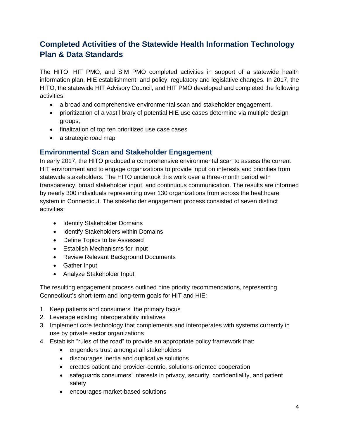# <span id="page-4-0"></span>**Completed Activities of the Statewide Health Information Technology Plan & Data Standards**

The HITO, HIT PMO, and SIM PMO completed activities in support of a statewide health information plan, HIE establishment, and policy, regulatory and legislative changes. In 2017, the HITO, the statewide HIT Advisory Council, and HIT PMO developed and completed the following activities:

- a broad and comprehensive environmental scan and stakeholder engagement,
- prioritization of a vast library of potential HIE use cases determine via multiple design groups,
- finalization of top ten prioritized use case cases
- a strategic road map

## <span id="page-4-1"></span>**Environmental Scan and Stakeholder Engagement**

In early 2017, the HITO produced a comprehensive environmental scan to assess the current HIT environment and to engage organizations to provide input on interests and priorities from statewide stakeholders. The HITO undertook this work over a three-month period with transparency, broad stakeholder input, and continuous communication. The results are informed by nearly 300 individuals representing over 130 organizations from across the healthcare system in Connecticut. The stakeholder engagement process consisted of seven distinct activities:

- Identify Stakeholder Domains
- Identify Stakeholders within Domains
- Define Topics to be Assessed
- Establish Mechanisms for Input
- Review Relevant Background Documents
- Gather Input
- Analyze Stakeholder Input

The resulting engagement process outlined nine priority recommendations, representing Connecticut's short-term and long-term goals for HIT and HIE:

- 1. Keep patients and consumers the primary focus
- 2. Leverage existing interoperability initiatives
- 3. Implement core technology that complements and interoperates with systems currently in use by private sector organizations
- 4. Establish "rules of the road" to provide an appropriate policy framework that:
	- engenders trust amongst all stakeholders
	- discourages inertia and duplicative solutions
	- creates patient and provider-centric, solutions-oriented cooperation
	- safeguards consumers' interests in privacy, security, confidentiality, and patient safety
	- encourages market-based solutions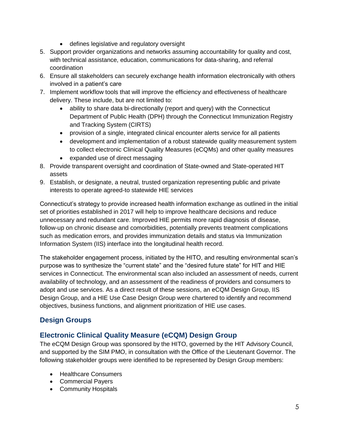- defines legislative and regulatory oversight
- 5. Support provider organizations and networks assuming accountability for quality and cost, with technical assistance, education, communications for data-sharing, and referral coordination
- 6. Ensure all stakeholders can securely exchange health information electronically with others involved in a patient's care
- 7. Implement workflow tools that will improve the efficiency and effectiveness of healthcare delivery. These include, but are not limited to:
	- ability to share data bi-directionally (report and query) with the Connecticut Department of Public Health (DPH) through the Connecticut Immunization Registry and Tracking System (CIRTS)
	- provision of a single, integrated clinical encounter alerts service for all patients
	- development and implementation of a robust statewide quality measurement system to collect electronic Clinical Quality Measures (eCQMs) and other quality measures
	- expanded use of direct messaging
- 8. Provide transparent oversight and coordination of State-owned and State-operated HIT assets
- 9. Establish, or designate, a neutral, trusted organization representing public and private interests to operate agreed-to statewide HIE services

Connecticut's strategy to provide increased health information exchange as outlined in the initial set of priorities established in 2017 will help to improve healthcare decisions and reduce unnecessary and redundant care. Improved HIE permits more rapid diagnosis of disease, follow-up on chronic disease and comorbidities, potentially prevents treatment complications such as medication errors, and provides immunization details and status via Immunization Information System (IIS) interface into the longitudinal health record.

The stakeholder engagement process, initiated by the HITO, and resulting environmental scan's purpose was to synthesize the "current state" and the "desired future state" for HIT and HIE services in Connecticut. The environmental scan also included an assessment of needs, current availability of technology, and an assessment of the readiness of providers and consumers to adopt and use services. As a direct result of these sessions, an eCQM Design Group, IIS Design Group, and a HIE Use Case Design Group were chartered to identify and recommend objectives, business functions, and alignment prioritization of HIE use cases.

# <span id="page-5-0"></span>**Design Groups**

# <span id="page-5-1"></span>**Electronic Clinical Quality Measure (eCQM) Design Group**

The eCQM Design Group was sponsored by the HITO, governed by the HIT Advisory Council, and supported by the SIM PMO, in consultation with the Office of the Lieutenant Governor. The following stakeholder groups were identified to be represented by Design Group members:

- Healthcare Consumers
- Commercial Payers
- Community Hospitals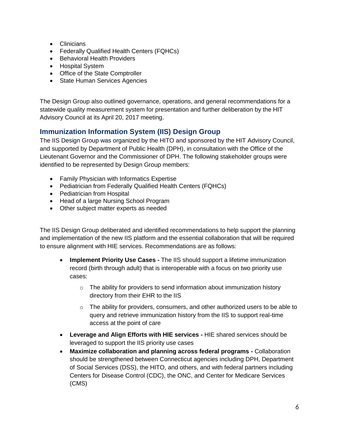- Clinicians
- Federally Qualified Health Centers (FQHCs)
- Behavioral Health Providers
- Hospital System
- Office of the State Comptroller
- State Human Services Agencies

The Design Group also outlined governance, operations, and general recommendations for a statewide quality measurement system for presentation and further deliberation by the HIT Advisory Council at its April 20, 2017 meeting.

# <span id="page-6-0"></span>**Immunization Information System (IIS) Design Group**

The IIS Design Group was organized by the HITO and sponsored by the HIT Advisory Council, and supported by Department of Public Health (DPH), in consultation with the Office of the Lieutenant Governor and the Commissioner of DPH. The following stakeholder groups were identified to be represented by Design Group members:

- Family Physician with Informatics Expertise
- Pediatrician from Federally Qualified Health Centers (FQHCs)
- Pediatrician from Hospital
- Head of a large Nursing School Program
- Other subject matter experts as needed

The IIS Design Group deliberated and identified recommendations to help support the planning and implementation of the new IIS platform and the essential collaboration that will be required to ensure alignment with HIE services. Recommendations are as follows:

- **Implement Priority Use Cases -** The IIS should support a lifetime immunization record (birth through adult) that is interoperable with a focus on two priority use cases:
	- $\circ$  The ability for providers to send information about immunization history directory from their EHR to the IIS
	- o The ability for providers, consumers, and other authorized users to be able to query and retrieve immunization history from the IIS to support real-time access at the point of care
- **Leverage and Align Efforts with HIE services -** HIE shared services should be leveraged to support the IIS priority use cases
- **Maximize collaboration and planning across federal programs -** Collaboration should be strengthened between Connecticut agencies including DPH, Department of Social Services (DSS), the HITO, and others, and with federal partners including Centers for Disease Control (CDC), the ONC, and Center for Medicare Services (CMS)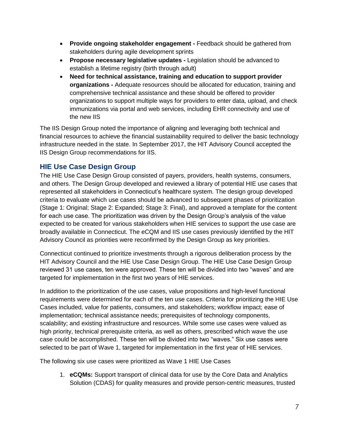- **Provide ongoing stakeholder engagement -** Feedback should be gathered from stakeholders during agile development sprints
- **Propose necessary legislative updates -** Legislation should be advanced to establish a lifetime registry (birth through adult)
- **Need for technical assistance, training and education to support provider organizations -** Adequate resources should be allocated for education, training and comprehensive technical assistance and these should be offered to provider organizations to support multiple ways for providers to enter data, upload, and check immunizations via portal and web services, including EHR connectivity and use of the new IIS

The IIS Design Group noted the importance of aligning and leveraging both technical and financial resources to achieve the financial sustainability required to deliver the basic technology infrastructure needed in the state. In September 2017, the HIT Advisory Council accepted the IIS Design Group recommendations for IIS.

# <span id="page-7-0"></span>**HIE Use Case Design Group**

The HIE Use Case Design Group consisted of payers, providers, health systems, consumers, and others. The Design Group developed and reviewed a library of potential HIE use cases that represented all stakeholders in Connecticut's healthcare system. The design group developed criteria to evaluate which use cases should be advanced to subsequent phases of prioritization (Stage 1: Original; Stage 2: Expanded; Stage 3: Final), and approved a template for the content for each use case. The prioritization was driven by the Design Group's analysis of the value expected to be created for various stakeholders when HIE services to support the use case are broadly available in Connecticut. The eCQM and IIS use cases previously identified by the HIT Advisory Council as priorities were reconfirmed by the Design Group as key priorities.

Connecticut continued to prioritize investments through a rigorous deliberation process by the HIT Advisory Council and the HIE Use Case Design Group. The HIE Use Case Design Group reviewed 31 use cases, ten were approved. These ten will be divided into two "waves" and are targeted for implementation in the first two years of HIE services.

In addition to the prioritization of the use cases, value propositions and high-level functional requirements were determined for each of the ten use cases. Criteria for prioritizing the HIE Use Cases included, value for patients, consumers, and stakeholders; workflow impact; ease of implementation; technical assistance needs; prerequisites of technology components, scalability; and existing infrastructure and resources. While some use cases were valued as high priority, technical prerequisite criteria, as well as others, prescribed which wave the use case could be accomplished. These ten will be divided into two "waves." Six use cases were selected to be part of Wave 1, targeted for implementation in the first year of HIE services.

The following six use cases were prioritized as Wave 1 HIE Use Cases

1. **eCQMs:** Support transport of clinical data for use by the Core Data and Analytics Solution (CDAS) for quality measures and provide person-centric measures, trusted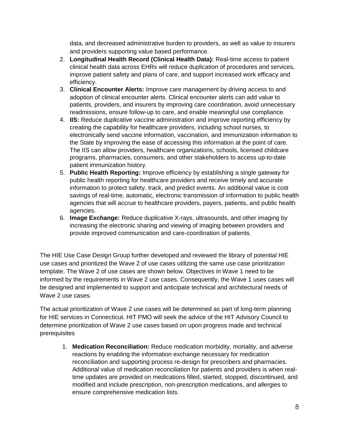data, and decreased administrative burden to providers, as well as value to insurers and providers supporting value based performance.

- 2. **Longitudinal Health Record (Clinical Health Data):** Real-time access to patient clinical health data across EHRs will reduce duplication of procedures and services, improve patient safety and plans of care, and support increased work efficacy and efficiency.
- 3. **Clinical Encounter Alerts:** Improve care management by driving access to and adoption of clinical encounter alerts. Clinical encounter alerts can add value to patients, providers, and insurers by improving care coordination, avoid unnecessary readmissions, ensure follow-up to care, and enable meaningful use compliance.
- 4. **IIS:** Reduce duplicative vaccine administration and improve reporting efficiency by creating the capability for healthcare providers, including school nurses, to electronically send vaccine information, vaccination, and immunization information to the State by improving the ease of accessing this information at the point of care. The IIS can allow providers, healthcare organizations, schools, licensed childcare programs, pharmacies, consumers, and other stakeholders to access up-to-date patient immunization history.
- 5. **Public Health Reporting:** Improve efficiency by establishing a single gateway for public health reporting for healthcare providers and receive timely and accurate information to protect safety, track, and predict events. An additional value is cost savings of real-time, automatic, electronic transmission of information to public health agencies that will accrue to healthcare providers, payers, patients, and public health agencies.
- 6. **Image Exchange:** Reduce duplicative X-rays, ultrasounds, and other imaging by increasing the electronic sharing and viewing of imaging between providers and provide improved communication and care-coordination of patients.

The HIE Use Case Design Group further developed and reviewed the library of potential HIE use cases and prioritized the Wave 2 of use cases utilizing the same use case prioritization template. The Wave 2 of use cases are shown below. Objectives in Wave 1 need to be informed by the requirements in Wave 2 use cases. Consequently, the Wave 1 uses cases will be designed and implemented to support and anticipate technical and architectural needs of Wave 2 use cases.

The actual prioritization of Wave 2 use cases will be determined as part of long-term planning for HIE services in Connecticut. HIT PMO will seek the advice of the HIT Advisory Council to determine prioritization of Wave 2 use cases based on upon progress made and technical prerequisites

1. **Medication Reconciliation:** Reduce medication morbidity, mortality, and adverse reactions by enabling the information exchange necessary for medication reconciliation and supporting process re-design for prescribers and pharmacies. Additional value of medication reconciliation for patients and providers is when realtime updates are provided on medications filled, started, stopped, discontinued, and modified and include prescription, non-prescription medications, and allergies to ensure comprehensive medication lists.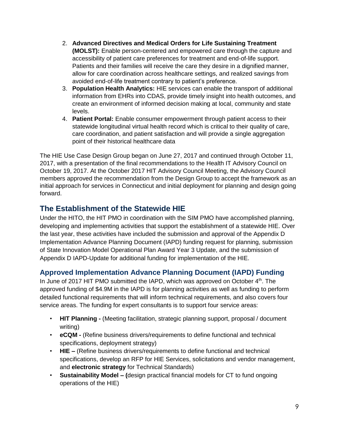- 2. **Advanced Directives and Medical Orders for Life Sustaining Treatment (MOLST):** Enable person-centered and empowered care through the capture and accessibility of patient care preferences for treatment and end-of-life support. Patients and their families will receive the care they desire in a dignified manner, allow for care coordination across healthcare settings, and realized savings from avoided end-of-life treatment contrary to patient's preference.
- 3. **Population Health Analytics:** HIE services can enable the transport of additional information from EHRs into CDAS, provide timely insight into health outcomes, and create an environment of informed decision making at local, community and state levels.
- 4. **Patient Portal:** Enable consumer empowerment through patient access to their statewide longitudinal virtual health record which is critical to their quality of care, care coordination, and patient satisfaction and will provide a single aggregation point of their historical healthcare data

The HIE Use Case Design Group began on June 27, 2017 and continued through October 11, 2017, with a presentation of the final recommendations to the Health IT Advisory Council on October 19, 2017. At the October 2017 HIT Advisory Council Meeting, the Advisory Council members approved the recommendation from the Design Group to accept the framework as an initial approach for services in Connecticut and initial deployment for planning and design going forward.

# <span id="page-9-0"></span>**The Establishment of the Statewide HIE**

Under the HITO, the HIT PMO in coordination with the SIM PMO have accomplished planning, developing and implementing activities that support the establishment of a statewide HIE. Over the last year, these activities have included the submission and approval of the Appendix D Implementation Advance Planning Document (IAPD) funding request for planning, submission of State Innovation Model Operational Plan Award Year 3 Update, and the submission of Appendix D IAPD-Update for additional funding for implementation of the HIE.

# <span id="page-9-1"></span>**Approved Implementation Advance Planning Document (IAPD) Funding**

In June of 2017 HIT PMO submitted the IAPD, which was approved on October  $4<sup>th</sup>$ . The approved funding of \$4.9M in the IAPD is for planning activities as well as funding to perform detailed functional requirements that will inform technical requirements, and also covers four service areas. The funding for expert consultants is to support four service areas:

- **HIT Planning -** (Meeting facilitation, strategic planning support, proposal / document writing)
- **eCQM -** (Refine business drivers/requirements to define functional and technical specifications, deployment strategy)
- **HIE –** (Refine business drivers/requirements to define functional and technical specifications, develop an RFP for HIE Services, solicitations and vendor management, and **electronic strategy** for Technical Standards)
- **Sustainability Model – (**design practical financial models for CT to fund ongoing operations of the HIE)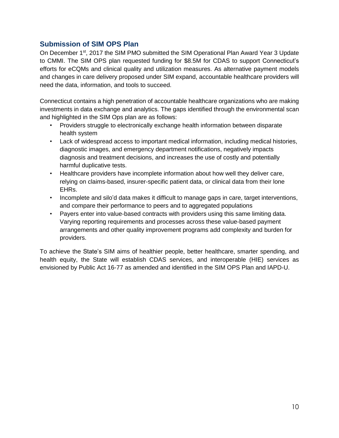## <span id="page-10-0"></span>**Submission of SIM OPS Plan**

On December 1<sup>st</sup>, 2017 the SIM PMO submitted the SIM Operational Plan Award Year 3 Update to CMMI. The SIM OPS plan requested funding for \$8.5M for CDAS to support Connecticut's efforts for eCQMs and clinical quality and utilization measures. As alternative payment models and changes in care delivery proposed under SIM expand, accountable healthcare providers will need the data, information, and tools to succeed.

Connecticut contains a high penetration of accountable healthcare organizations who are making investments in data exchange and analytics. The gaps identified through the environmental scan and highlighted in the SIM Ops plan are as follows:

- Providers struggle to electronically exchange health information between disparate health system
- Lack of widespread access to important medical information, including medical histories, diagnostic images, and emergency department notifications, negatively impacts diagnosis and treatment decisions, and increases the use of costly and potentially harmful duplicative tests.
- Healthcare providers have incomplete information about how well they deliver care, relying on claims-based, insurer-specific patient data, or clinical data from their lone EHRs.
- Incomplete and silo'd data makes it difficult to manage gaps in care, target interventions, and compare their performance to peers and to aggregated populations
- Payers enter into value-based contracts with providers using this same limiting data. Varying reporting requirements and processes across these value-based payment arrangements and other quality improvement programs add complexity and burden for providers.

To achieve the State's SIM aims of healthier people, better healthcare, smarter spending, and health equity, the State will establish CDAS services, and interoperable (HIE) services as envisioned by Public Act 16-77 as amended and identified in the SIM OPS Plan and IAPD-U.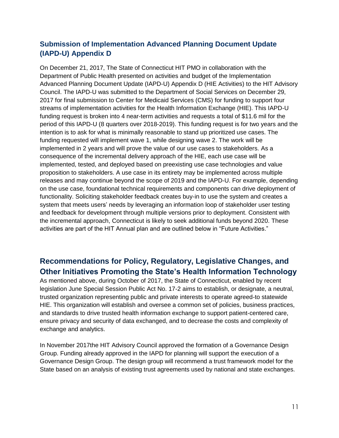# <span id="page-11-0"></span>**Submission of Implementation Advanced Planning Document Update (IAPD-U) Appendix D**

On December 21, 2017, The State of Connecticut HIT PMO in collaboration with the Department of Public Health presented on activities and budget of the Implementation Advanced Planning Document Update (IAPD-U) Appendix D (HIE Activities) to the HIT Advisory Council. The IAPD-U was submitted to the Department of Social Services on December 29, 2017 for final submission to Center for Medicaid Services (CMS) for funding to support four streams of implementation activities for the Health Information Exchange (HIE). This IAPD-U funding request is broken into 4 near-term activities and requests a total of \$11.6 mil for the period of this IAPD-U (8 quarters over 2018-2019). This funding request is for two years and the intention is to ask for what is minimally reasonable to stand up prioritized use cases. The funding requested will implement wave 1, while designing wave 2. The work will be implemented in 2 years and will prove the value of our use cases to stakeholders. As a consequence of the incremental delivery approach of the HIE, each use case will be implemented, tested, and deployed based on preexisting use case technologies and value proposition to stakeholders. A use case in its entirety may be implemented across multiple releases and may continue beyond the scope of 2019 and the IAPD-U. For example, depending on the use case, foundational technical requirements and components can drive deployment of functionality. Soliciting stakeholder feedback creates buy-in to use the system and creates a system that meets users' needs by leveraging an information loop of stakeholder user testing and feedback for development through multiple versions prior to deployment. Consistent with the incremental approach, Connecticut is likely to seek additional funds beyond 2020. These activities are part of the HIT Annual plan and are outlined below in "Future Activities."

# <span id="page-11-1"></span>**Recommendations for Policy, Regulatory, Legislative Changes, and Other Initiatives Promoting the State's Health Information Technology**

As mentioned above, during October of 2017, the State of Connecticut, enabled by recent legislation June Special Session Public Act No. 17-2 aims to establish, or designate, a neutral, trusted organization representing public and private interests to operate agreed-to statewide HIE. This organization will establish and oversee a common set of policies, business practices, and standards to drive trusted health information exchange to support patient-centered care, ensure privacy and security of data exchanged, and to decrease the costs and complexity of exchange and analytics.

In November 2017the HIT Advisory Council approved the formation of a Governance Design Group. Funding already approved in the IAPD for planning will support the execution of a Governance Design Group. The design group will recommend a trust framework model for the State based on an analysis of existing trust agreements used by national and state exchanges.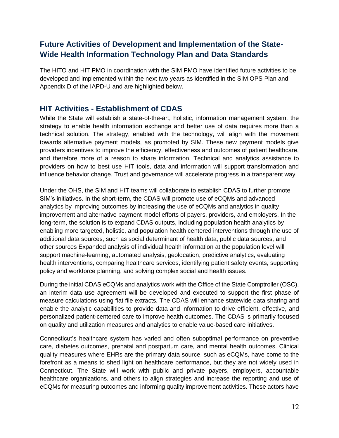# <span id="page-12-0"></span>**Future Activities of Development and Implementation of the State-Wide Health Information Technology Plan and Data Standards**

The HITO and HIT PMO in coordination with the SIM PMO have identified future activities to be developed and implemented within the next two years as identified in the SIM OPS Plan and Appendix D of the IAPD-U and are highlighted below.

# <span id="page-12-1"></span>**HIT Activities - Establishment of CDAS**

While the State will establish a state-of-the-art, holistic, information management system, the strategy to enable health information exchange and better use of data requires more than a technical solution. The strategy, enabled with the technology, will align with the movement towards alternative payment models, as promoted by SIM. These new payment models give providers incentives to improve the efficiency, effectiveness and outcomes of patient healthcare, and therefore more of a reason to share information. Technical and analytics assistance to providers on how to best use HIT tools, data and information will support transformation and influence behavior change. Trust and governance will accelerate progress in a transparent way.

Under the OHS, the SIM and HIT teams will collaborate to establish CDAS to further promote SIM's initiatives. In the short-term, the CDAS will promote use of eCQMs and advanced analytics by improving outcomes by increasing the use of eCQMs and analytics in quality improvement and alternative payment model efforts of payers, providers, and employers. In the long-term, the solution is to expand CDAS outputs, including population health analytics by enabling more targeted, holistic, and population health centered interventions through the use of additional data sources, such as social determinant of health data, public data sources, and other sources Expanded analysis of individual health information at the population level will support machine-learning, automated analysis, geolocation, predictive analytics, evaluating health interventions, comparing healthcare services, identifying patient safety events, supporting policy and workforce planning, and solving complex social and health issues.

During the initial CDAS eCQMs and analytics work with the Office of the State Comptroller (OSC), an interim data use agreement will be developed and executed to support the first phase of measure calculations using flat file extracts. The CDAS will enhance statewide data sharing and enable the analytic capabilities to provide data and information to drive efficient, effective, and personalized patient-centered care to improve health outcomes. The CDAS is primarily focused on quality and utilization measures and analytics to enable value-based care initiatives.

Connecticut's healthcare system has varied and often suboptimal performance on preventive care, diabetes outcomes, prenatal and postpartum care, and mental health outcomes. Clinical quality measures where EHRs are the primary data source, such as eCQMs, have come to the forefront as a means to shed light on healthcare performance, but they are not widely used in Connecticut. The State will work with public and private payers, employers, accountable healthcare organizations, and others to align strategies and increase the reporting and use of eCQMs for measuring outcomes and informing quality improvement activities. These actors have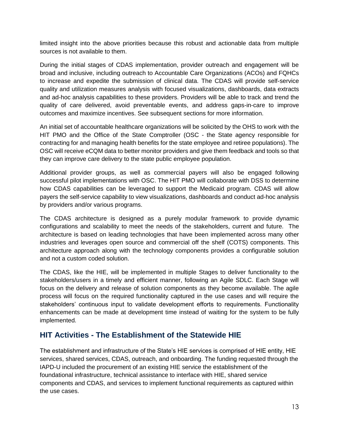limited insight into the above priorities because this robust and actionable data from multiple sources is not available to them.

During the initial stages of CDAS implementation, provider outreach and engagement will be broad and inclusive, including outreach to Accountable Care Organizations (ACOs) and FQHCs to increase and expedite the submission of clinical data. The CDAS will provide self-service quality and utilization measures analysis with focused visualizations, dashboards, data extracts and ad-hoc analysis capabilities to these providers. Providers will be able to track and trend the quality of care delivered, avoid preventable events, and address gaps-in-care to improve outcomes and maximize incentives. See subsequent sections for more information.

An initial set of accountable healthcare organizations will be solicited by the OHS to work with the HIT PMO and the Office of the State Comptroller (OSC - the State agency responsible for contracting for and managing health benefits for the state employee and retiree populations). The OSC will receive eCQM data to better monitor providers and give them feedback and tools so that they can improve care delivery to the state public employee population.

Additional provider groups, as well as commercial payers will also be engaged following successful pilot implementations with OSC. The HIT PMO will collaborate with DSS to determine how CDAS capabilities can be leveraged to support the Medicaid program. CDAS will allow payers the self-service capability to view visualizations, dashboards and conduct ad-hoc analysis by providers and/or various programs.

The CDAS architecture is designed as a purely modular framework to provide dynamic configurations and scalability to meet the needs of the stakeholders, current and future. The architecture is based on leading technologies that have been implemented across many other industries and leverages open source and commercial off the shelf (COTS) components. This architecture approach along with the technology components provides a configurable solution and not a custom coded solution.

The CDAS, like the HIE, will be implemented in multiple Stages to deliver functionality to the stakeholders/users in a timely and efficient manner, following an Agile SDLC. Each Stage will focus on the delivery and release of solution components as they become available. The agile process will focus on the required functionality captured in the use cases and will require the stakeholders' continuous input to validate development efforts to requirements. Functionality enhancements can be made at development time instead of waiting for the system to be fully implemented.

# <span id="page-13-0"></span>**HIT Activities - The Establishment of the Statewide HIE**

The establishment and infrastructure of the State's HIE services is comprised of HIE entity, HIE services, shared services, CDAS, outreach, and onboarding. The funding requested through the IAPD-U included the procurement of an existing HIE service the establishment of the foundational infrastructure, technical assistance to interface with HIE, shared service components and CDAS, and services to implement functional requirements as captured within the use cases.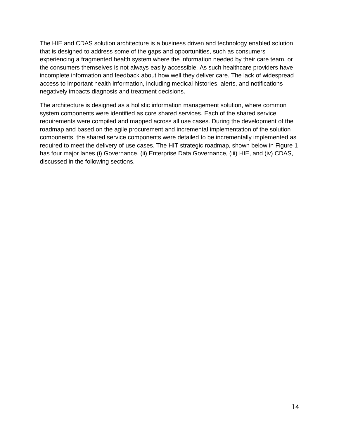The HIE and CDAS solution architecture is a business driven and technology enabled solution that is designed to address some of the gaps and opportunities, such as consumers experiencing a fragmented health system where the information needed by their care team, or the consumers themselves is not always easily accessible. As such healthcare providers have incomplete information and feedback about how well they deliver care. The lack of widespread access to important health information, including medical histories, alerts, and notifications negatively impacts diagnosis and treatment decisions.

The architecture is designed as a holistic information management solution, where common system components were identified as core shared services. Each of the shared service requirements were compiled and mapped across all use cases. During the development of the roadmap and based on the agile procurement and incremental implementation of the solution components, the shared service components were detailed to be incrementally implemented as required to meet the delivery of use cases. The HIT strategic roadmap, shown below in Figure 1 has four major lanes (i) Governance, (ii) Enterprise Data Governance, (iii) HIE, and (iv) CDAS, discussed in the following sections.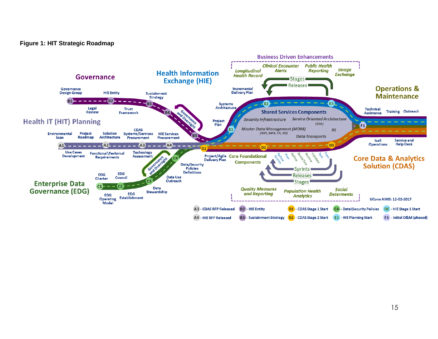#### **Figure 1: HIT Strategic Roadmap**

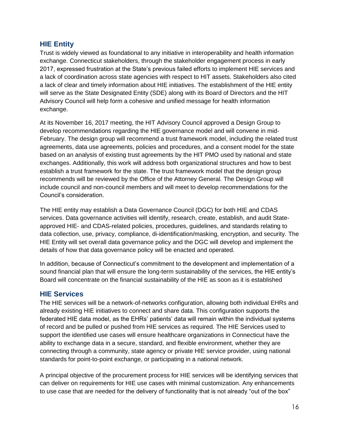## <span id="page-16-0"></span>**HIE Entity**

Trust is widely viewed as foundational to any initiative in interoperability and health information exchange. Connecticut stakeholders, through the stakeholder engagement process in early 2017, expressed frustration at the State's previous failed efforts to implement HIE services and a lack of coordination across state agencies with respect to HIT assets. Stakeholders also cited a lack of clear and timely information about HIE initiatives. The establishment of the HIE entity will serve as the State Designated Entity (SDE) along with its Board of Directors and the HIT Advisory Council will help form a cohesive and unified message for health information exchange.

At its November 16, 2017 meeting, the HIT Advisory Council approved a Design Group to develop recommendations regarding the HIE governance model and will convene in mid-February. The design group will recommend a trust framework model, including the related trust agreements, data use agreements, policies and procedures, and a consent model for the state based on an analysis of existing trust agreements by the HIT PMO used by national and state exchanges. Additionally, this work will address both organizational structures and how to best establish a trust framework for the state. The trust framework model that the design group recommends will be reviewed by the Office of the Attorney General*.* The Design Group will include council and non-council members and will meet to develop recommendations for the Council's consideration.

The HIE entity may establish a Data Governance Council (DGC) for both HIE and CDAS services. Data governance activities will identify, research, create, establish, and audit Stateapproved HIE- and CDAS-related policies, procedures, guidelines, and standards relating to data collection, use, privacy, compliance, di-identification/masking, encryption, and security. The HIE Entity will set overall data governance policy and the DGC will develop and implement the details of how that data governance policy will be enacted and operated.

In addition, because of Connecticut's commitment to the development and implementation of a sound financial plan that will ensure the long-term sustainability of the services, the HIE entity's Board will concentrate on the financial sustainability of the HIE as soon as it is established

## <span id="page-16-1"></span>**HIE Services**

The HIE services will be a network-of-networks configuration, allowing both individual EHRs and already existing HIE initiatives to connect and share data. This configuration supports the federated HIE data model, as the EHRs' patients' data will remain within the individual systems of record and be pulled or pushed from HIE services as required. The HIE Services used to support the identified use cases will ensure healthcare organizations in Connecticut have the ability to exchange data in a secure, standard, and flexible environment, whether they are connecting through a community, state agency or private HIE service provider, using national standards for point-to-point exchange, or participating in a national network.

A principal objective of the procurement process for HIE services will be identifying services that can deliver on requirements for HIE use cases with minimal customization. Any enhancements to use case that are needed for the delivery of functionality that is not already "out of the box"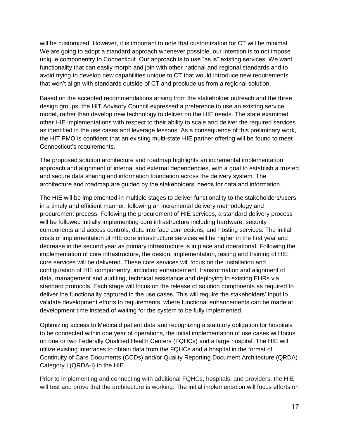will be customized. However, it is important to note that customization for CT will be minimal. We are going to adopt a standard approach whenever possible, our intention is to not impose unique componentry to Connecticut. Our approach is to use "as is" existing services. We want functionality that can easily morph and join with other national and regional standards and to avoid trying to develop new capabilities unique to CT that would introduce new requirements that won't align with standards outside of CT and preclude us from a regional solution.

Based on the accepted recommendations arising from the stakeholder outreach and the three design groups, the HIT Advisory Council expressed a preference to use an existing service model, rather than develop new technology to deliver on the HIE needs. The state examined other HIE implementations with respect to their ability to scale and deliver the required services as identified in the use cases and leverage lessons. As a consequence of this preliminary work, the HIT PMO is confident that an existing multi-state HIE partner offering will be found to meet Connecticut's requirements.

The proposed solution architecture and roadmap highlights an incremental implementation approach and alignment of internal and external dependencies, with a goal to establish a trusted and secure data sharing and information foundation across the delivery system. The architecture and roadmap are guided by the stakeholders' needs for data and information.

The HIE will be implemented in multiple stages to deliver functionality to the stakeholders/users in a timely and efficient manner, following an incremental delivery methodology and procurement process. Following the procurement of HIE services, a standard delivery process will be followed initially implementing core infrastructure including hardware, security components and access controls, data interface connections, and hosting services. The initial costs of implementation of HIE core infrastructure services will be higher in the first year and decrease in the second year as primary infrastructure is in place and operational. Following the implementation of core infrastructure, the design, implementation, testing and training of HIE core services will be delivered. These core services will focus on the installation and configuration of HIE componentry; including enhancement, transformation and alignment of data, management and auditing, technical assistance and deploying to existing EHRs via standard protocols. Each stage will focus on the release of solution components as required to deliver the functionality captured in the use cases. This will require the stakeholders' input to validate development efforts to requirements, where functional enhancements can be made at development time instead of waiting for the system to be fully implemented.

Optimizing access to Medicaid patient data and recognizing a statutory obligation for hospitals to be connected within one year of operations, the initial implementation of use cases will focus on one or two Federally Qualified Health Centers (FQHCs) and a large hospital. The HIE will utilize existing interfaces to obtain data from the FQHCs and a hospital in the format of Continuity of Care Documents (CCDs) and/or Quality Reporting Document Architecture (QRDA) Category I (QRDA-I) to the HIE.

Prior to implementing and connecting with additional FQHCs, hospitals, and providers, the HIE will test and prove that the architecture is working. The initial implementation will focus efforts on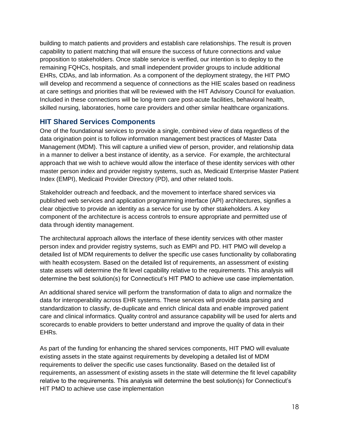building to match patients and providers and establish care relationships. The result is proven capability to patient matching that will ensure the success of future connections and value proposition to stakeholders. Once stable service is verified, our intention is to deploy to the remaining FQHCs, hospitals, and small independent provider groups to include additional EHRs, CDAs, and lab information. As a component of the deployment strategy, the HIT PMO will develop and recommend a sequence of connections as the HIE scales based on readiness at care settings and priorities that will be reviewed with the HIT Advisory Council for evaluation. Included in these connections will be long-term care post-acute facilities, behavioral health, skilled nursing, laboratories, home care providers and other similar healthcare organizations.

## <span id="page-18-0"></span>**HIT Shared Services Components**

One of the foundational services to provide a single, combined view of data regardless of the data origination point is to follow information management best practices of Master Data Management (MDM). This will capture a unified view of person, provider, and relationship data in a manner to deliver a best instance of identity, as a service. For example, the architectural approach that we wish to achieve would allow the interface of these identity services with other master person index and provider registry systems, such as, Medicaid Enterprise Master Patient Index (EMPI), Medicaid Provider Directory (PD), and other related tools.

Stakeholder outreach and feedback, and the movement to interface shared services via published web services and application programming interface (API) architectures, signifies a clear objective to provide an identity as a service for use by other stakeholders. A key component of the architecture is access controls to ensure appropriate and permitted use of data through identity management.

The architectural approach allows the interface of these identity services with other master person index and provider registry systems, such as EMPI and PD. HIT PMO will develop a detailed list of MDM requirements to deliver the specific use cases functionality by collaborating with health ecosystem. Based on the detailed list of requirements, an assessment of existing state assets will determine the fit level capability relative to the requirements. This analysis will determine the best solution(s) for Connecticut's HIT PMO to achieve use case implementation.

An additional shared service will perform the transformation of data to align and normalize the data for interoperability across EHR systems. These services will provide data parsing and standardization to classify, de-duplicate and enrich clinical data and enable improved patient care and clinical informatics. Quality control and assurance capability will be used for alerts and scorecards to enable providers to better understand and improve the quality of data in their EHRs.

As part of the funding for enhancing the shared services components, HIT PMO will evaluate existing assets in the state against requirements by developing a detailed list of MDM requirements to deliver the specific use cases functionality. Based on the detailed list of requirements, an assessment of existing assets in the state will determine the fit level capability relative to the requirements. This analysis will determine the best solution(s) for Connecticut's HIT PMO to achieve use case implementation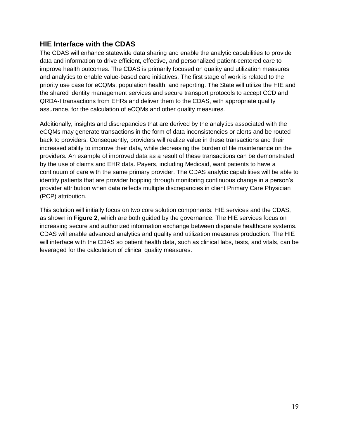## <span id="page-19-0"></span>**HIE Interface with the CDAS**

The CDAS will enhance statewide data sharing and enable the analytic capabilities to provide data and information to drive efficient, effective, and personalized patient-centered care to improve health outcomes. The CDAS is primarily focused on quality and utilization measures and analytics to enable value-based care initiatives. The first stage of work is related to the priority use case for eCQMs, population health, and reporting. The State will utilize the HIE and the shared identity management services and secure transport protocols to accept CCD and QRDA-I transactions from EHRs and deliver them to the CDAS, with appropriate quality assurance, for the calculation of eCQMs and other quality measures.

Additionally, insights and discrepancies that are derived by the analytics associated with the eCQMs may generate transactions in the form of data inconsistencies or alerts and be routed back to providers. Consequently, providers will realize value in these transactions and their increased ability to improve their data, while decreasing the burden of file maintenance on the providers. An example of improved data as a result of these transactions can be demonstrated by the use of claims and EHR data. Payers, including Medicaid, want patients to have a continuum of care with the same primary provider. The CDAS analytic capabilities will be able to identify patients that are provider hopping through monitoring continuous change in a person's provider attribution when data reflects multiple discrepancies in client Primary Care Physician (PCP) attribution.

This solution will initially focus on two core solution components: HIE services and the CDAS, as shown in **Figure 2**, which are both guided by the governance. The HIE services focus on increasing secure and authorized information exchange between disparate healthcare systems. CDAS will enable advanced analytics and quality and utilization measures production. The HIE will interface with the CDAS so patient health data, such as clinical labs, tests, and vitals, can be leveraged for the calculation of clinical quality measures.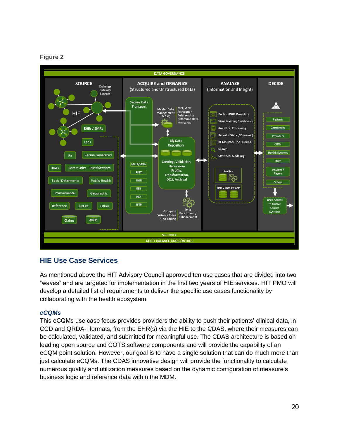#### **Figure 2**



# <span id="page-20-0"></span>**HIE Use Case Services**

As mentioned above the HIT Advisory Council approved ten use cases that are divided into two "waves" and are targeted for implementation in the first two years of HIE services. HIT PMO will develop a detailed list of requirements to deliver the specific use cases functionality by collaborating with the health ecosystem.

#### *eCQMs*

This eCQMs use case focus provides providers the ability to push their patients' clinical data, in CCD and QRDA-I formats, from the EHR(s) via the HIE to the CDAS, where their measures can be calculated, validated, and submitted for meaningful use. The CDAS architecture is based on leading open source and COTS software components and will provide the capability of an eCQM point solution. However, our goal is to have a single solution that can do much more than just calculate eCQMs. The CDAS innovative design will provide the functionality to calculate numerous quality and utilization measures based on the dynamic configuration of measure's business logic and reference data within the MDM.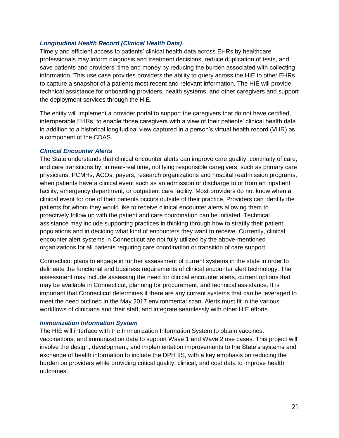#### *Longitudinal Health Record (Clinical Health Data)*

Timely and efficient access to patients' clinical health data across EHRs by healthcare professionals may inform diagnosis and treatment decisions, reduce duplication of tests, and save patients and providers' time and money by reducing the burden associated with collecting information. This use case provides providers the ability to query across the HIE to other EHRs to capture a snapshot of a patients most recent and relevant information. The HIE will provide technical assistance for onboarding providers, health systems, and other caregivers and support the deployment services through the HIE.

The entity will implement a provider portal to support the caregivers that do not have certified, interoperable EHRs, to enable those caregivers with a view of their patients' clinical health data in addition to a historical longitudinal view captured in a person's virtual health record (VHR) as a component of the CDAS.

#### *Clinical Encounter Alerts*

The State understands that clinical encounter alerts can improve care quality, continuity of care, and care transitions by, in near-real time, notifying responsible caregivers, such as primary care physicians, PCMHs, ACOs, payers, research organizations and hospital readmission programs, when patients have a clinical event such as an admission or discharge to or from an inpatient facility, emergency department, or outpatient care facility. Most providers do not know when a clinical event for one of their patients occurs outside of their practice. Providers can identify the patients for whom they would like to receive clinical encounter alerts allowing them to proactively follow up with the patient and care coordination can be initiated. Technical assistance may include supporting practices in thinking through how to stratify their patient populations and in deciding what kind of encounters they want to receive. Currently, clinical encounter alert systems in Connecticut are not fully utilized by the above-mentioned organizations for all patients requiring care coordination or transition of care support.

Connecticut plans to engage in further assessment of current systems in the state in order to delineate the functional and business requirements of clinical encounter alert technology. The assessment may include assessing the need for clinical encounter alerts, current options that may be available in Connecticut, planning for procurement, and technical assistance. It is important that Connecticut determines if there are any current systems that can be leveraged to meet the need outlined in the May 2017 environmental scan. Alerts must fit in the various workflows of clinicians and their staff, and integrate seamlessly with other HIE efforts.

#### *Immunization Information System*

The HIE will interface with the Immunization Information System to obtain vaccines, vaccinations, and immunization data to support Wave 1 and Wave 2 use cases. This project will involve the design, development, and implementation improvements to the State's systems and exchange of health information to include the DPH IIS, with a key emphasis on reducing the burden on providers while providing critical quality, clinical, and cost data to improve health outcomes.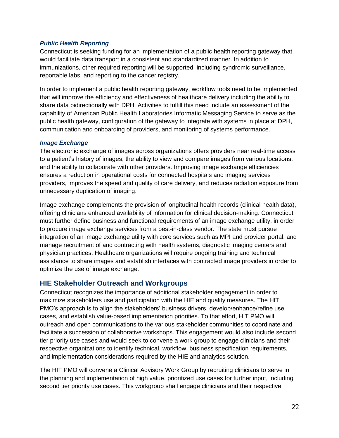#### *Public Health Reporting*

Connecticut is seeking funding for an implementation of a public health reporting gateway that would facilitate data transport in a consistent and standardized manner. In addition to immunizations, other required reporting will be supported, including syndromic surveillance, reportable labs, and reporting to the cancer registry.

In order to implement a public health reporting gateway, workflow tools need to be implemented that will improve the efficiency and effectiveness of healthcare delivery including the ability to share data bidirectionally with DPH. Activities to fulfill this need include an assessment of the capability of American Public Health Laboratories Informatic Messaging Service to serve as the public health gateway, configuration of the gateway to integrate with systems in place at DPH, communication and onboarding of providers, and monitoring of systems performance.

#### *Image Exchange*

The electronic exchange of images across organizations offers providers near real-time access to a patient's history of images, the ability to view and compare images from various locations, and the ability to collaborate with other providers. Improving image exchange efficiencies ensures a reduction in operational costs for connected hospitals and imaging services providers, improves the speed and quality of care delivery, and reduces radiation exposure from unnecessary duplication of imaging.

Image exchange complements the provision of longitudinal health records (clinical health data), offering clinicians enhanced availability of information for clinical decision-making. Connecticut must further define business and functional requirements of an image exchange utility, in order to procure image exchange services from a best-in-class vendor. The state must pursue integration of an image exchange utility with core services such as MPI and provider portal, and manage recruitment of and contracting with health systems, diagnostic imaging centers and physician practices. Healthcare organizations will require ongoing training and technical assistance to share images and establish interfaces with contracted image providers in order to optimize the use of image exchange.

## <span id="page-22-0"></span>**HIE Stakeholder Outreach and Workgroups**

Connecticut recognizes the importance of additional stakeholder engagement in order to maximize stakeholders use and participation with the HIE and quality measures. The HIT PMO's approach is to align the stakeholders' business drivers, develop/enhance/refine use cases, and establish value-based implementation priorities. To that effort, HIT PMO will outreach and open communications to the various stakeholder communities to coordinate and facilitate a succession of collaborative workshops. This engagement would also include second tier priority use cases and would seek to convene a work group to engage clinicians and their respective organizations to identify technical, workflow, business specification requirements, and implementation considerations required by the HIE and analytics solution.

The HIT PMO will convene a Clinical Advisory Work Group by recruiting clinicians to serve in the planning and implementation of high value, prioritized use cases for further input, including second tier priority use cases. This workgroup shall engage clinicians and their respective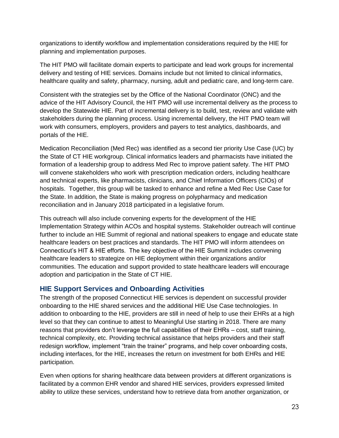organizations to identify workflow and implementation considerations required by the HIE for planning and implementation purposes.

The HIT PMO will facilitate domain experts to participate and lead work groups for incremental delivery and testing of HIE services. Domains include but not limited to clinical informatics, healthcare quality and safety, pharmacy, nursing, adult and pediatric care, and long-term care.

Consistent with the strategies set by the Office of the National Coordinator (ONC) and the advice of the HIT Advisory Council, the HIT PMO will use incremental delivery as the process to develop the Statewide HIE. Part of incremental delivery is to build, test, review and validate with stakeholders during the planning process. Using incremental delivery, the HIT PMO team will work with consumers, employers, providers and payers to test analytics, dashboards, and portals of the HIE.

Medication Reconciliation (Med Rec) was identified as a second tier priority Use Case (UC) by the State of CT HIE workgroup. Clinical informatics leaders and pharmacists have initiated the formation of a leadership group to address Med Rec to improve patient safety. The HIT PMO will convene stakeholders who work with prescription medication orders, including healthcare and technical experts, like pharmacists, clinicians, and Chief Information Officers (CIOs) of hospitals. Together, this group will be tasked to enhance and refine a Med Rec Use Case for the State. In addition, the State is making progress on polypharmacy and medication reconciliation and in January 2018 participated in a legislative forum.

This outreach will also include convening experts for the development of the HIE Implementation Strategy within ACOs and hospital systems. Stakeholder outreach will continue further to include an HIE Summit of regional and national speakers to engage and educate state healthcare leaders on best practices and standards. The HIT PMO will inform attendees on Connecticut's HIT & HIE efforts. The key objective of the HIE Summit includes convening healthcare leaders to strategize on HIE deployment within their organizations and/or communities. The education and support provided to state healthcare leaders will encourage adoption and participation in the State of CT HIE.

## <span id="page-23-0"></span>**HIE Support Services and Onboarding Activities**

The strength of the proposed Connecticut HIE services is dependent on successful provider onboarding to the HIE shared services and the additional HIE Use Case technologies. In addition to onboarding to the HIE, providers are still in need of help to use their EHRs at a high level so that they can continue to attest to Meaningful Use starting in 2018. There are many reasons that providers don't leverage the full capabilities of their EHRs – cost, staff training, technical complexity, etc. Providing technical assistance that helps providers and their staff redesign workflow, implement "train the trainer" programs, and help cover onboarding costs, including interfaces, for the HIE, increases the return on investment for both EHRs and HIE participation.

Even when options for sharing healthcare data between providers at different organizations is facilitated by a common EHR vendor and shared HIE services, providers expressed limited ability to utilize these services, understand how to retrieve data from another organization, or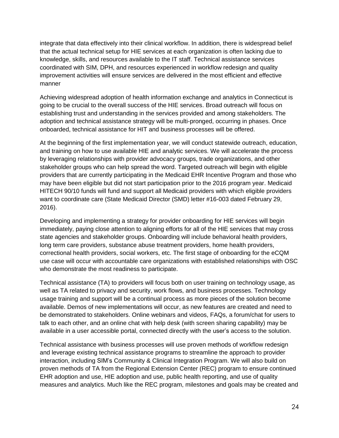integrate that data effectively into their clinical workflow. In addition, there is widespread belief that the actual technical setup for HIE services at each organization is often lacking due to knowledge, skills, and resources available to the IT staff. Technical assistance services coordinated with SIM, DPH, and resources experienced in workflow redesign and quality improvement activities will ensure services are delivered in the most efficient and effective manner

Achieving widespread adoption of health information exchange and analytics in Connecticut is going to be crucial to the overall success of the HIE services. Broad outreach will focus on establishing trust and understanding in the services provided and among stakeholders. The adoption and technical assistance strategy will be multi-pronged, occurring in phases. Once onboarded, technical assistance for HIT and business processes will be offered.

At the beginning of the first implementation year, we will conduct statewide outreach, education, and training on how to use available HIE and analytic services. We will accelerate the process by leveraging relationships with provider advocacy groups, trade organizations, and other stakeholder groups who can help spread the word. Targeted outreach will begin with eligible providers that are currently participating in the Medicaid EHR Incentive Program and those who may have been eligible but did not start participation prior to the 2016 program year. Medicaid HITECH 90/10 funds will fund and support all Medicaid providers with which eligible providers want to coordinate care (State Medicaid Director (SMD) letter #16-003 dated February 29, 2016).

Developing and implementing a strategy for provider onboarding for HIE services will begin immediately, paying close attention to aligning efforts for all of the HIE services that may cross state agencies and stakeholder groups. Onboarding will include behavioral health providers, long term care providers, substance abuse treatment providers, home health providers, correctional health providers, social workers, etc. The first stage of onboarding for the eCQM use case will occur with accountable care organizations with established relationships with OSC who demonstrate the most readiness to participate.

Technical assistance (TA) to providers will focus both on user training on technology usage, as well as TA related to privacy and security, work flows, and business processes. Technology usage training and support will be a continual process as more pieces of the solution become available. Demos of new implementations will occur, as new features are created and need to be demonstrated to stakeholders. Online webinars and videos, FAQs, a forum/chat for users to talk to each other, and an online chat with help desk (with screen sharing capability) may be available in a user accessible portal, connected directly with the user's access to the solution.

Technical assistance with business processes will use proven methods of workflow redesign and leverage existing technical assistance programs to streamline the approach to provider interaction, including SIM's Community & Clinical Integration Program. We will also build on proven methods of TA from the Regional Extension Center (REC) program to ensure continued EHR adoption and use, HIE adoption and use, public health reporting, and use of quality measures and analytics. Much like the REC program, milestones and goals may be created and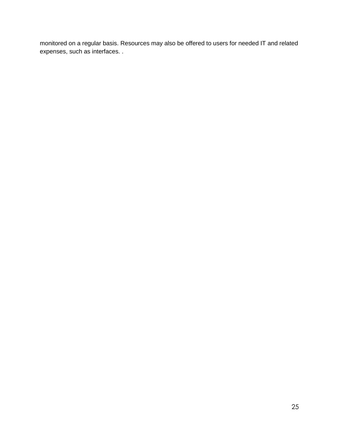monitored on a regular basis. Resources may also be offered to users for needed IT and related expenses, such as interfaces. .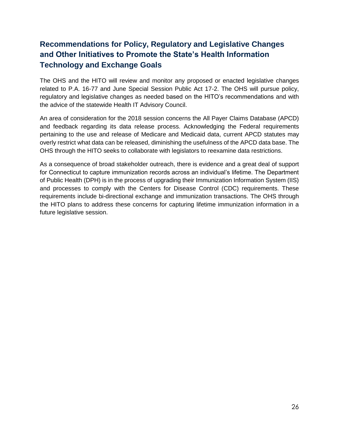# <span id="page-26-0"></span>**Recommendations for Policy, Regulatory and Legislative Changes and Other Initiatives to Promote the State's Health Information Technology and Exchange Goals**

The OHS and the HITO will review and monitor any proposed or enacted legislative changes related to P.A. 16-77 and June Special Session Public Act 17-2. The OHS will pursue policy, regulatory and legislative changes as needed based on the HITO's recommendations and with the advice of the statewide Health IT Advisory Council.

An area of consideration for the 2018 session concerns the All Payer Claims Database (APCD) and feedback regarding its data release process. Acknowledging the Federal requirements pertaining to the use and release of Medicare and Medicaid data, current APCD statutes may overly restrict what data can be released, diminishing the usefulness of the APCD data base. The OHS through the HITO seeks to collaborate with legislators to reexamine data restrictions.

As a consequence of broad stakeholder outreach, there is evidence and a great deal of support for Connecticut to capture immunization records across an individual's lifetime. The Department of Public Health (DPH) is in the process of upgrading their Immunization Information System (IIS) and processes to comply with the Centers for Disease Control (CDC) requirements. These requirements include bi-directional exchange and immunization transactions. The OHS through the HITO plans to address these concerns for capturing lifetime immunization information in a future legislative session.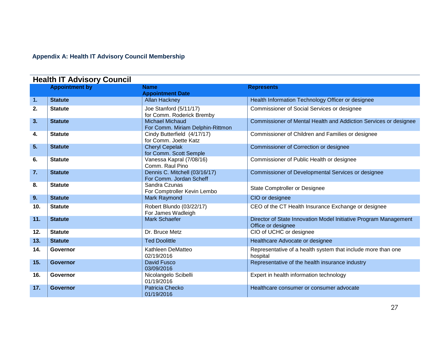# **Appendix A: Health IT Advisory Council Membership**

<span id="page-27-0"></span>

| <b>Health IT Advisory Council</b> |                       |                                                            |                                                                                        |  |  |
|-----------------------------------|-----------------------|------------------------------------------------------------|----------------------------------------------------------------------------------------|--|--|
|                                   | <b>Appointment by</b> | <b>Name</b>                                                | <b>Represents</b>                                                                      |  |  |
|                                   |                       | <b>Appointment Date</b>                                    |                                                                                        |  |  |
| 1.                                | <b>Statute</b>        | <b>Allan Hackney</b>                                       | Health Information Technology Officer or designee                                      |  |  |
| 2.                                | <b>Statute</b>        | Joe Stanford (5/11/17)<br>for Comm. Roderick Bremby        | Commissioner of Social Services or designee                                            |  |  |
| 3.                                | <b>Statute</b>        | <b>Michael Michaud</b><br>For Comm. Miriam Delphin-Rittmon | Commissioner of Mental Health and Addiction Services or designee                       |  |  |
| 4.                                | <b>Statute</b>        | Cindy Butterfield (4/17/17)<br>for Comm. Joette Katz       | Commissioner of Children and Families or designee                                      |  |  |
| 5 <sub>1</sub>                    | <b>Statute</b>        | <b>Cheryl Cepelak</b><br>for Comm. Scott Semple            | Commissioner of Correction or designee                                                 |  |  |
| 6.                                | <b>Statute</b>        | Vanessa Kapral (7/08/16)<br>Comm. Raul Pino                | Commissioner of Public Health or designee                                              |  |  |
| 7.                                | <b>Statute</b>        | Dennis C. Mitchell (03/16/17)<br>For Comm. Jordan Scheff   | Commissioner of Developmental Services or designee                                     |  |  |
| 8.                                | <b>Statute</b>        | Sandra Czunas<br>For Comptroller Kevin Lembo               | State Comptroller or Designee                                                          |  |  |
| 9.                                | <b>Statute</b>        | Mark Raymond                                               | CIO or designee                                                                        |  |  |
| 10.                               | <b>Statute</b>        | Robert Blundo (03/22/17)<br>For James Wadleigh             | CEO of the CT Health Insurance Exchange or designee                                    |  |  |
| 11.                               | <b>Statute</b>        | <b>Mark Schaefer</b>                                       | Director of State Innovation Model Initiative Program Management<br>Office or designee |  |  |
| 12.                               | <b>Statute</b>        | Dr. Bruce Metz                                             | CIO of UCHC or designee                                                                |  |  |
| 13.                               | <b>Statute</b>        | <b>Ted Doolittle</b>                                       | Healthcare Advocate or designee                                                        |  |  |
| 14.                               | Governor              | Kathleen DeMatteo<br>02/19/2016                            | Representative of a health system that include more than one<br>hospital               |  |  |
| 15.                               | <b>Governor</b>       | <b>David Fusco</b><br>03/09/2016                           | Representative of the health insurance industry                                        |  |  |
| 16.                               | Governor              | Nicolangelo Scibelli<br>01/19/2016                         | Expert in health information technology                                                |  |  |
| 17.                               | Governor              | Patricia Checko<br>01/19/2016                              | Healthcare consumer or consumer advocate                                               |  |  |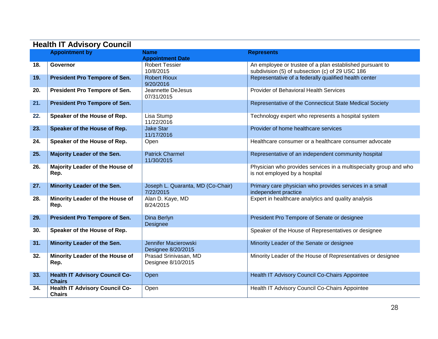| <b>Health IT Advisory Council</b> |                                                        |                                                |                                                                                                             |  |  |
|-----------------------------------|--------------------------------------------------------|------------------------------------------------|-------------------------------------------------------------------------------------------------------------|--|--|
|                                   | <b>Appointment by</b>                                  | <b>Name</b>                                    | <b>Represents</b>                                                                                           |  |  |
|                                   |                                                        | <b>Appointment Date</b>                        |                                                                                                             |  |  |
| 18.                               | Governor                                               | <b>Robert Tessier</b><br>10/8/2015             | An employee or trustee of a plan established pursuant to<br>subdivision (5) of subsection (c) of 29 USC 186 |  |  |
| 19.                               | <b>President Pro Tempore of Sen.</b>                   | <b>Robert Rioux</b><br>9/20/2016               | Representative of a federally qualified health center                                                       |  |  |
| 20.                               | President Pro Tempore of Sen.                          | Jeannette DeJesus<br>07/31/2015                | <b>Provider of Behavioral Health Services</b>                                                               |  |  |
| 21.                               | <b>President Pro Tempore of Sen.</b>                   |                                                | Representative of the Connecticut State Medical Society                                                     |  |  |
| 22.                               | Speaker of the House of Rep.                           | Lisa Stump<br>11/22/2016                       | Technology expert who represents a hospital system                                                          |  |  |
| 23.                               | Speaker of the House of Rep.                           | <b>Jake Star</b><br>11/17/2016                 | Provider of home healthcare services                                                                        |  |  |
| 24.                               | Speaker of the House of Rep.                           | Open                                           | Healthcare consumer or a healthcare consumer advocate                                                       |  |  |
| 25.                               | Majority Leader of the Sen.                            | <b>Patrick Charmel</b><br>11/30/2015           | Representative of an independent community hospital                                                         |  |  |
| 26.                               | Majority Leader of the House of<br>Rep.                |                                                | Physician who provides services in a multispecialty group and who<br>is not employed by a hospital          |  |  |
| 27.                               | Minority Leader of the Sen.                            | Joseph L. Quaranta, MD (Co-Chair)<br>7/22/2015 | Primary care physician who provides services in a small<br>independent practice                             |  |  |
| 28.                               | Minority Leader of the House of<br>Rep.                | Alan D. Kaye, MD<br>8/24/2015                  | Expert in healthcare analytics and quality analysis                                                         |  |  |
| 29.                               | President Pro Tempore of Sen.                          | Dina Berlyn<br>Designee                        | President Pro Tempore of Senate or designee                                                                 |  |  |
| 30.                               | Speaker of the House of Rep.                           |                                                | Speaker of the House of Representatives or designee                                                         |  |  |
| 31.                               | Minority Leader of the Sen.                            | Jennifer Macierowski<br>Designee 8/20/2015     | Minority Leader of the Senate or designee                                                                   |  |  |
| 32.                               | Minority Leader of the House of<br>Rep.                | Prasad Srinivasan, MD<br>Designee 8/10/2015    | Minority Leader of the House of Representatives or designee                                                 |  |  |
| 33.                               | <b>Health IT Advisory Council Co-</b><br><b>Chairs</b> | Open                                           | <b>Health IT Advisory Council Co-Chairs Appointee</b>                                                       |  |  |
| 34.                               | <b>Health IT Advisory Council Co-</b><br><b>Chairs</b> | Open                                           | Health IT Advisory Council Co-Chairs Appointee                                                              |  |  |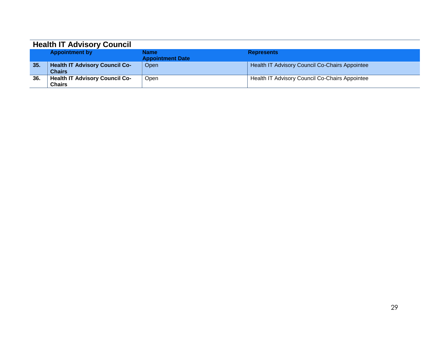| <b>Health IT Advisory Council</b> |                                       |                         |                                                |  |  |  |
|-----------------------------------|---------------------------------------|-------------------------|------------------------------------------------|--|--|--|
|                                   | <b>Appointment by</b>                 | <b>Name</b>             | <b>Represents</b>                              |  |  |  |
|                                   |                                       | <b>Appointment Date</b> |                                                |  |  |  |
| 35.                               | <b>Health IT Advisory Council Co-</b> | Open                    | Health IT Advisory Council Co-Chairs Appointee |  |  |  |
|                                   | <b>Chairs</b>                         |                         |                                                |  |  |  |
| 36.                               | <b>Health IT Advisory Council Co-</b> | Open                    | Health IT Advisory Council Co-Chairs Appointee |  |  |  |
|                                   | <b>Chairs</b>                         |                         |                                                |  |  |  |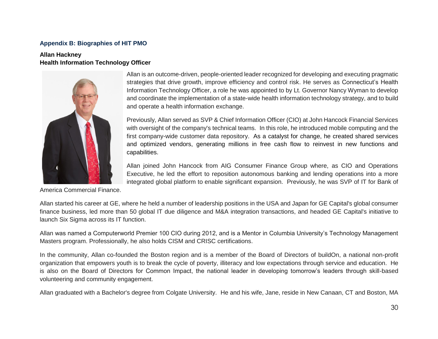#### **Appendix B: Biographies of HIT PMO**

#### **Allan Hackney Health Information Technology Officer**



Allan is an outcome-driven, people-oriented leader recognized for developing and executing pragmatic strategies that drive growth, improve efficiency and control risk. He serves as Connecticut's Health Information Technology Officer, a role he was appointed to by Lt. Governor Nancy Wyman to develop and coordinate the implementation of a state-wide health information technology strategy, and to build and operate a health information exchange.

Previously, Allan served as SVP & Chief Information Officer (CIO) at John Hancock Financial Services with oversight of the company's technical teams. In this role, he introduced mobile computing and the first company-wide customer data repository. As a catalyst for change, he created shared services and optimized vendors, generating millions in free cash flow to reinvest in new functions and capabilities.

Allan joined John Hancock from AIG Consumer Finance Group where, as CIO and Operations Executive, he led the effort to reposition autonomous banking and lending operations into a more integrated global platform to enable significant expansion. Previously, he was SVP of IT for Bank of

<span id="page-30-0"></span>America Commercial Finance.

Allan started his career at GE, where he held a number of leadership positions in the USA and Japan for GE Capital's global consumer finance business, led more than 50 global IT due diligence and M&A integration transactions, and headed GE Capital's initiative to launch Six Sigma across its IT function.

Allan was named a Computerworld Premier 100 CIO during 2012, and is a Mentor in Columbia University's Technology Management Masters program. Professionally, he also holds CISM and CRISC certifications.

In the community, Allan co-founded the Boston region and is a member of the Board of Directors of buildOn, a national non-profit organization that empowers youth is to break the cycle of poverty, illiteracy and low expectations through service and education. He is also on the Board of Directors for Common Impact, the national leader in developing tomorrow's leaders through skill-based volunteering and community engagement.

Allan graduated with a Bachelor's degree from Colgate University. He and his wife, Jane, reside in New Canaan, CT and Boston, MA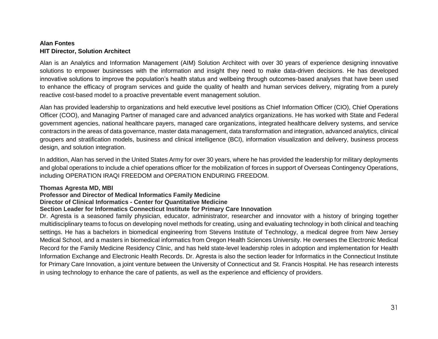## **Alan Fontes HIT Director, Solution Architect**

Alan is an Analytics and Information Management (AIM) Solution Architect with over 30 years of experience designing innovative solutions to empower businesses with the information and insight they need to make data-driven decisions. He has developed innovative solutions to improve the population's health status and wellbeing through outcomes-based analyses that have been used to enhance the efficacy of program services and guide the quality of health and human services delivery, migrating from a purely reactive cost-based model to a proactive preventable event management solution.

Alan has provided leadership to organizations and held executive level positions as Chief Information Officer (CIO), Chief Operations Officer (COO), and Managing Partner of managed care and advanced analytics organizations. He has worked with State and Federal government agencies, national healthcare payers, managed care organizations, integrated healthcare delivery systems, and service contractors in the areas of data governance, master data management, data transformation and integration, advanced analytics, clinical groupers and stratification models, business and clinical intelligence (BCI), information visualization and delivery, business process design, and solution integration.

In addition, Alan has served in the United States Army for over 30 years, where he has provided the leadership for military deployments and global operations to include a chief operations officer for the mobilization of forces in support of Overseas Contingency Operations, including OPERATION IRAQI FREEDOM and OPERATION ENDURING FREEDOM.

#### **Thomas Agresta MD, MBI**

# **Professor and Director of Medical Informatics Family Medicine**

# **Director of Clinical Informatics - Center for Quantitative Medicine**

## **Section Leader for Informatics Connecticut Institute for Primary Care Innovation**

Dr. Agresta is a seasoned family physician, educator, administrator, researcher and innovator with a history of bringing together multidisciplinary teams to focus on developing novel methods for creating, using and evaluating technology in both clinical and teaching settings. He has a bachelors in biomedical engineering from Stevens Institute of Technology, a medical degree from New Jersey Medical School, and a masters in biomedical informatics from Oregon Health Sciences University. He oversees the Electronic Medical Record for the Family Medicine Residency Clinic, and has held state-level leadership roles in adoption and implementation for Health Information Exchange and Electronic Health Records. Dr. Agresta is also the section leader for Informatics in the Connecticut Institute for Primary Care Innovation, a joint venture between the University of Connecticut and St. Francis Hospital. He has research interests in using technology to enhance the care of patients, as well as the experience and efficiency of providers.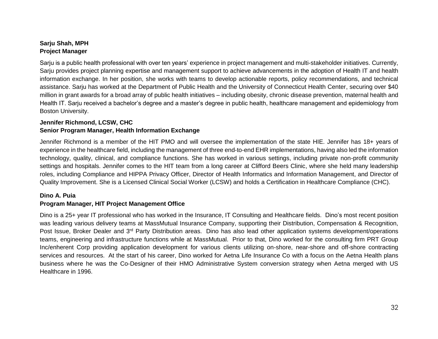### **Sarju Shah, MPH Project Manager**

Sarju is a public health professional with over ten years' experience in project management and multi-stakeholder initiatives. Currently, Sarju provides project planning expertise and management support to achieve advancements in the adoption of Health IT and health information exchange. In her position, she works with teams to develop actionable reports, policy recommendations, and technical assistance. Sarju has worked at the Department of Public Health and the University of Connecticut Health Center, securing over \$40 million in grant awards for a broad array of public health initiatives – including obesity, chronic disease prevention, maternal health and Health IT. Sarju received a bachelor's degree and a master's degree in public health, healthcare management and epidemiology from Boston University.

### **Jennifer Richmond, LCSW, CHC Senior Program Manager, Health Information Exchange**

Jennifer Richmond is a member of the HIT PMO and will oversee the implementation of the state HIE. Jennifer has 18+ years of experience in the healthcare field, including the management of three end-to-end EHR implementations, having also led the information technology, quality, clinical, and compliance functions. She has worked in various settings, including private non-profit community settings and hospitals. Jennifer comes to the HIT team from a long career at Clifford Beers Clinic, where she held many leadership roles, including Compliance and HIPPA Privacy Officer, Director of Health Informatics and Information Management, and Director of Quality Improvement. She is a Licensed Clinical Social Worker (LCSW) and holds a Certification in Healthcare Compliance (CHC).

#### **Dino A. Puia**

#### **Program Manager, HIT Project Management Office**

Dino is a 25+ year IT professional who has worked in the Insurance, IT Consulting and Healthcare fields. Dino's most recent position was leading various delivery teams at MassMutual Insurance Company, supporting their Distribution, Compensation & Recognition, Post Issue, Broker Dealer and 3<sup>rd</sup> Party Distribution areas. Dino has also lead other application systems development/operations teams, engineering and infrastructure functions while at MassMutual. Prior to that, Dino worked for the consulting firm PRT Group Inc/enherent Corp providing application development for various clients utilizing on-shore, near-shore and off-shore contracting services and resources. At the start of his career, Dino worked for Aetna Life Insurance Co with a focus on the Aetna Health plans business where he was the Co-Designer of their HMO Administrative System conversion strategy when Aetna merged with US Healthcare in 1996.